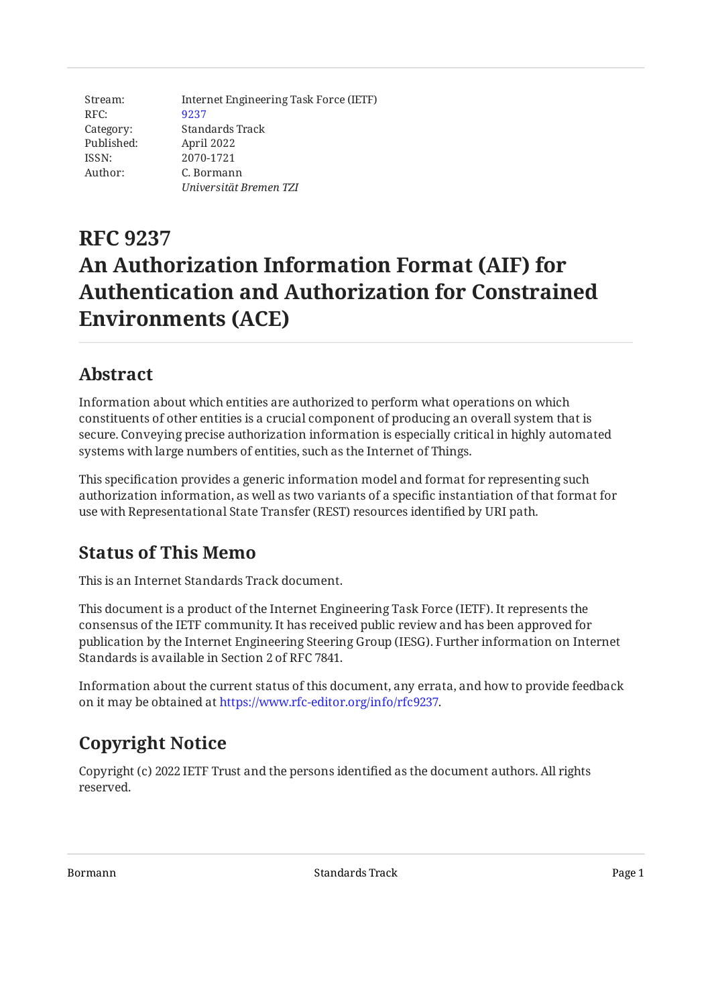Stream: RFC: Category: Published: ISSN: Author: Internet Engineering Task Force (IETF) [9237](https://www.rfc-editor.org/rfc/rfc9237) Standards Track April 2022 2070-1721 C. Bormann *Universität Bremen TZI*

# **RFC 9237 An Authorization Information Format (AIF) for Authentication and Authorization for Constrained Environments (ACE)**

# <span id="page-0-0"></span>**[Abstract](#page-0-0)**

Information about which entities are authorized to perform what operations on which constituents of other entities is a crucial component of producing an overall system that is secure. Conveying precise authorization information is especially critical in highly automated systems with large numbers of entities, such as the Internet of Things.

This specification provides a generic information model and format for representing such authorization information, as well as two variants of a specific instantiation of that format for use with Representational State Transfer (REST) resources identified by URI path.

### <span id="page-0-1"></span>**[Status of This Memo](#page-0-1)**

This is an Internet Standards Track document.

This document is a product of the Internet Engineering Task Force (IETF). It represents the consensus of the IETF community. It has received public review and has been approved for publication by the Internet Engineering Steering Group (IESG). Further information on Internet Standards is available in Section 2 of RFC 7841.

Information about the current status of this document, any errata, and how to provide feedback on it may be obtained at [https://www.rfc-editor.org/info/rfc9237.](https://www.rfc-editor.org/info/rfc9237)

# <span id="page-0-2"></span>**[Copyright Notice](#page-0-2)**

Copyright (c) 2022 IETF Trust and the persons identified as the document authors. All rights reserved.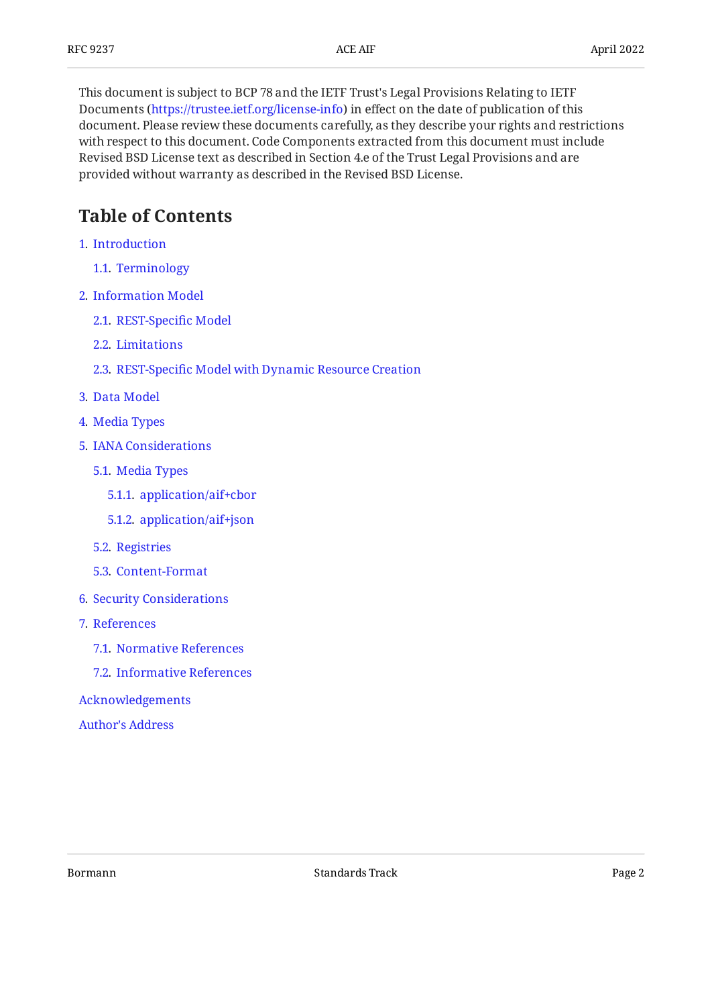This document is subject to BCP 78 and the IETF Trust's Legal Provisions Relating to IETF Documents (<https://trustee.ietf.org/license-info>) in effect on the date of publication of this document. Please review these documents carefully, as they describe your rights and restrictions with respect to this document. Code Components extracted from this document must include Revised BSD License text as described in Section 4.e of the Trust Legal Provisions and are provided without warranty as described in the Revised BSD License.

# <span id="page-1-0"></span>**[Table of Contents](#page-1-0)**

- [1](#page-2-0). [Introduction](#page-2-0)
	- [1.1.](#page-2-1) [Terminology](#page-2-1)
- [2](#page-2-2). [Information Model](#page-2-2)
	- [2.1.](#page-3-0) [REST-Speci](#page-3-0)fic Model
	- [2.2.](#page-4-0) [Limitations](#page-4-0)
	- [2.3.](#page-4-1) REST-Specifi[c Model with Dynamic Resource Creation](#page-4-1)
- [3](#page-5-0). [Data Model](#page-5-0)
- [4](#page-7-0). [Media Types](#page-7-0)
- [5](#page-7-1). [IANA Considerations](#page-7-1)
	- [5.1.](#page-7-2) [Media Types](#page-7-2)
		- [5.1.1](#page-7-3). [application/aif+cbor](#page-7-3)
		- [5.1.2](#page-8-0). [application/aif+json](#page-8-0)
	- [5.2.](#page-9-0) [Registries](#page-9-0)
	- [5.3.](#page-10-0) [Content-Format](#page-10-0)
- [6](#page-10-1). [Security Considerations](#page-10-1)
- [7](#page-11-0). [References](#page-11-0)
	- [7.1.](#page-11-1) [Normative References](#page-11-1)
	- [7.2.](#page-11-2) [Informative References](#page-11-2)
- [Acknowledgements](#page-13-0)

[Author's Address](#page-13-1)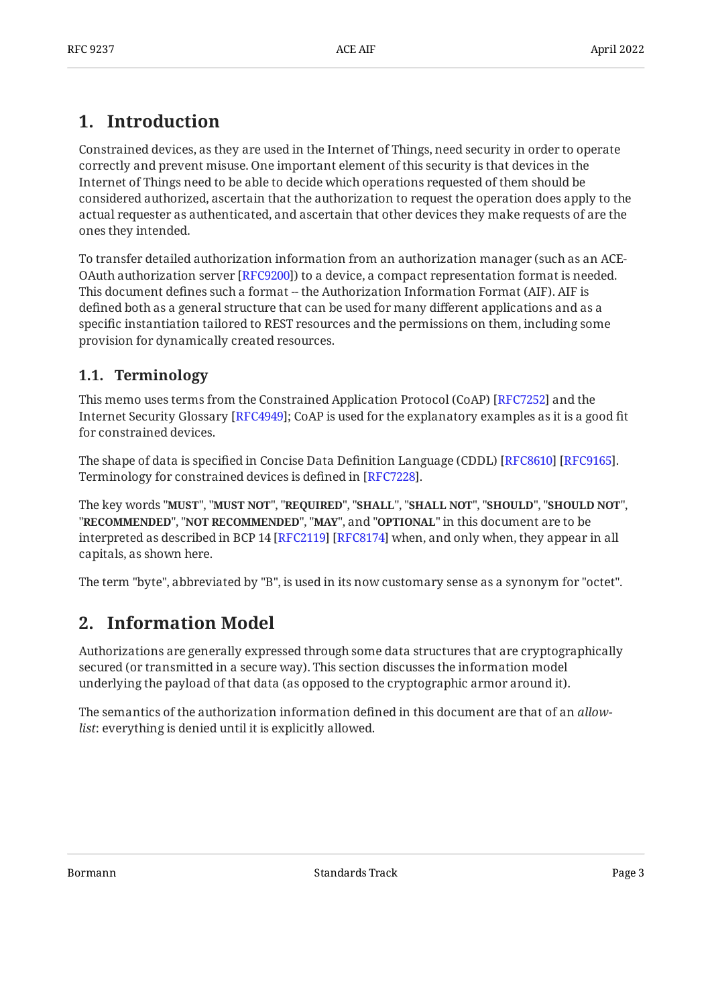# <span id="page-2-0"></span>**[1. Introduction](#page-2-0)**

Constrained devices, as they are used in the Internet of Things, need security in order to operate correctly and prevent misuse. One important element of this security is that devices in the Internet of Things need to be able to decide which operations requested of them should be considered authorized, ascertain that the authorization to request the operation does apply to the actual requester as authenticated, and ascertain that other devices they make requests of are the ones they intended.

To transfer detailed authorization information from an authorization manager (such as an ACE-OAuth authorization server [\[RFC9200](#page-12-0)]) to a device, a compact representation format is needed. This document defines such a format -- the Authorization Information Format (AIF). AIF is defined both as a general structure that can be used for many different applications and as a specific instantiation tailored to REST resources and the permissions on them, including some provision for dynamically created resources.

### <span id="page-2-1"></span>**[1.1. Terminology](#page-2-1)**

This memo uses terms from the Constrained Application Protocol (CoAP) [\[RFC7252\]](#page-11-3) and the Internet Security Glossary [RFC4949]; CoAP is used for the explanatory examples as it is a good fit for constrained devices.

The shape of data is specified in Concise Data Definition Language (CDDL) [RFC8610] [RFC9165]. Terminology for constrained devices is defined in [\[RFC7228](#page-12-2)].

The key words "MUST", "MUST NOT", "REQUIRED", "SHALL", "SHALL NOT", "SHOULD", "SHOULD NOT", "**RECOMMENDED", "NOT RECOMMENDED", "MAY",** and "OPTIONAL" in this document are to be interpreted as described in BCP 14 [RFC2119] [RFC8174] when, and only when, they appear in all capitals, as shown here.

<span id="page-2-2"></span>The term "byte", abbreviated by "B", is used in its now customary sense as a synonym for "octet".

# **[2. Information Model](#page-2-2)**

Authorizations are generally expressed through some data structures that are cryptographically secured (or transmitted in a secure way). This section discusses the information model underlying the payload of that data (as opposed to the cryptographic armor around it).

The semantics of the authorization information defined in this document are that of an *allowlist*: everything is denied until it is explicitly allowed.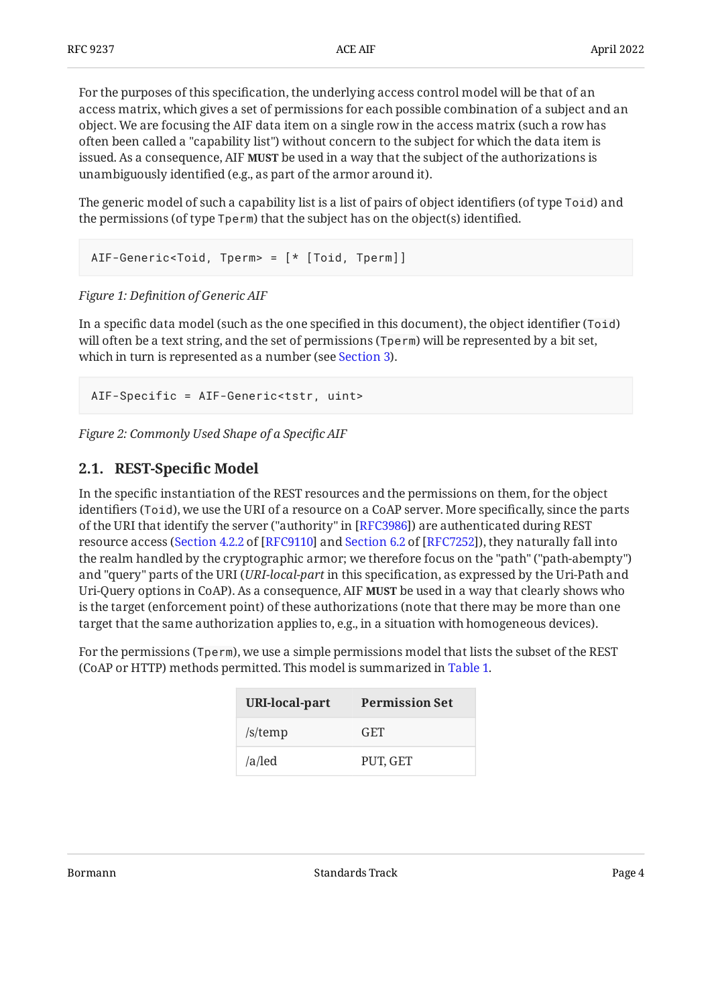For the purposes of this specification, the underlying access control model will be that of an access matrix, which gives a set of permissions for each possible combination of a subject and an object. We are focusing the AIF data item on a single row in the access matrix (such a row has often been called a "capability list") without concern to the subject for which the data item is issued. As a consequence, AIF **MUST** be used in a way that the subject of the authorizations is unambiguously identified (e.g., as part of the armor around it).

The generic model of such a capability list is a list of pairs of object identifiers (of type Toid) and the permissions (of type Tperm) that the subject has on the object(s) identified.

```
AIF-Generic<Toid, Tperm> = [* [Toid, Tperm]]
```
#### *[Figure 1:](#page-3-1) Defi[nition of Generic AIF](#page-3-1)*

In a specific data model (such as the one specified in this document), the object identifier (Toid) will often be a text string, and the set of permissions (Tperm) will be represented by a bit set, which in turn is represented as a number (see [Section 3](#page-5-0)).

```
AIF-Specific = AIF-Generic<tstr, uint>
```
<span id="page-3-0"></span>*[Figure 2: Commonly Used Shape of a Speci](#page-3-2)fic AIF* 

#### **[2.1. REST-Speci](#page-3-0)fic Model**

In the specific instantiation of the REST resources and the permissions on them, for the object identifiers (Toid), we use the URI of a resource on a CoAP server. More specifically, since the parts of the URI that identify the server ("authority" in [[RFC3986\]](#page-11-8)) are authenticated during REST resourceaccess (Section 4.2.2 of [RFC9110] and Section 6.2 of [RFC7252]), they naturally fall into the realm handled by the cryptographic armor; we therefore focus on the "path" ("path-abempty") and "query" parts of the URI (*URI-local-part* in this specification, as expressed by the Uri-Path and Uri-Query options in CoAP). As a consequence, AIF **MUST** be used in a way that clearly shows who is the target (enforcement point) of these authorizations (note that there may be more than one target that the same authorization applies to, e.g., in a situation with homogeneous devices).

<span id="page-3-3"></span>For the permissions (Tperm), we use a simple permissions model that lists the subset of the REST (CoAP or HTTP) methods permitted. This model is summarized in [Table 1.](#page-3-3)

<span id="page-3-4"></span>

| <b>URI-local-part</b> | <b>Permission Set</b> |  |  |  |
|-----------------------|-----------------------|--|--|--|
| /s/temp               | GET                   |  |  |  |
| /a/led                | PUT, GET              |  |  |  |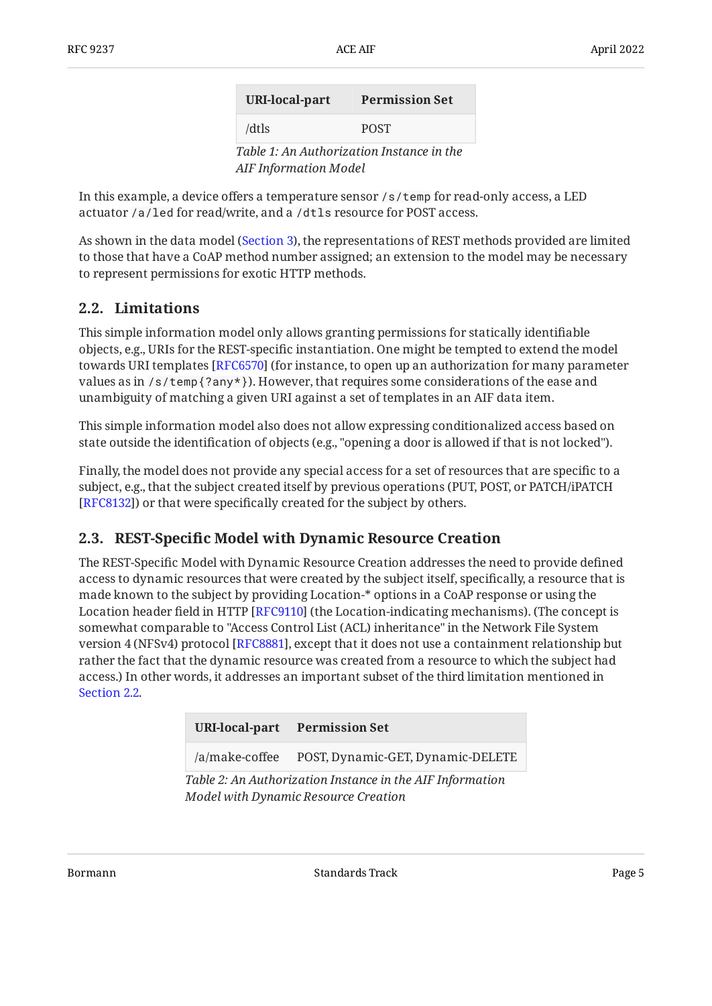| <b>URI-local-part</b>        | <b>Permission Set</b>                     |
|------------------------------|-------------------------------------------|
| /dtls                        | <b>POST</b>                               |
| <b>AIF Information Model</b> | Table 1: An Authorization Instance in the |

In this example, a device offers a temperature sensor /s/temp for read-only access, a LED actuator /a/led for read/write, and a /dtls resource for POST access.

As shown in the data model [\(Section 3](#page-5-0)), the representations of REST methods provided are limited to those that have a CoAP method number assigned; an extension to the model may be necessary to represent permissions for exotic HTTP methods.

#### <span id="page-4-0"></span>**[2.2. Limitations](#page-4-0)**

This simple information model only allows granting permissions for statically identifiable objects, e.g., URIs for the REST-specific instantiation. One might be tempted to extend the model towards URI templates [RFC6570] (for instance, to open up an authorization for many parameter values as in  $\sqrt{s}$  / temp $\{?any*\}$ . However, that requires some considerations of the ease and unambiguity of matching a given URI against a set of templates in an AIF data item.

This simple information model also does not allow expressing conditionalized access based on state outside the identification of objects (e.g., "opening a door is allowed if that is not locked").

Finally, the model does not provide any special access for a set of resources that are specific to a subject, e.g., that the subject created itself by previous operations (PUT, POST, or PATCH/iPATCH [[RFC8132\]](#page-12-4)) or that were specifically created for the subject by others.

#### <span id="page-4-1"></span>**[2.3. R](#page-4-1)EST-Specifi[c Model with Dynamic Resource Creation](#page-4-1)**

The REST-Specific Model with Dynamic Resource Creation addresses the need to provide defined access to dynamic resources that were created by the subject itself, specifically, a resource that is made known to the subject by providing Location-\* options in a CoAP response or using the Location header field in HTTP [RFC9110] (the Location-indicating mechanisms). (The concept is somewhat comparable to "Access Control List (ACL) inheritance" in the Network File System version 4 (NFSv4) protocol [[RFC8881\]](#page-12-5), except that it does not use a containment relationship but rather the fact that the dynamic resource was created from a resource to which the subject had access.) In other words, it addresses an important subset of the third limitation mentioned in [Section 2.2](#page-4-0).

<span id="page-4-3"></span><span id="page-4-2"></span>

|        | URI-local-part Permission Set |         |
|--------|-------------------------------|---------|
| $\sim$ | _ _ _ _ _                     | $--- -$ |

/a/make-coffee POST, Dynamic-GET, Dynamic-DELETE

*[Table 2:](#page-4-2) [An Authorization Instance in the AIF Information](#page-4-3) [Model with Dynamic Resource Creation](#page-4-3)*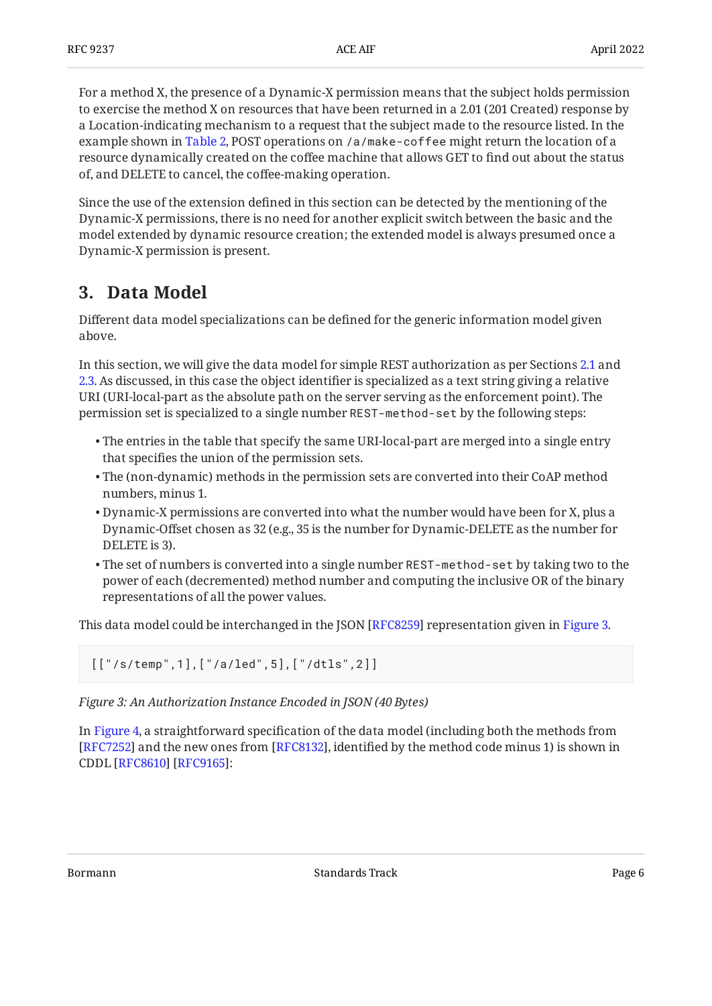For a method X, the presence of a Dynamic-X permission means that the subject holds permission to exercise the method X on resources that have been returned in a 2.01 (201 Created) response by a Location-indicating mechanism to a request that the subject made to the resource listed. In the example shown in [Table 2,](#page-4-3) POST operations on /a/make-coffee might return the location of a resource dynamically created on the coffee machine that allows GET to find out about the status of, and DELETE to cancel, the coffee-making operation.

Since the use of the extension defined in this section can be detected by the mentioning of the Dynamic-X permissions, there is no need for another explicit switch between the basic and the model extended by dynamic resource creation; the extended model is always presumed once a Dynamic-X permission is present.

# <span id="page-5-0"></span>**[3. Data Model](#page-5-0)**

Different data model specializations can be defined for the generic information model given above.

In this section, we will give the data model for simple REST authorization as per Sections [2.1](#page-3-0) and [2.3.](#page-4-1) As discussed, in this case the object identifier is specialized as a text string giving a relative URI (URI-local-part as the absolute path on the server serving as the enforcement point). The permission set is specialized to a single number REST-method-set by the following steps:

- $\bullet$  The entries in the table that specify the same URI-local-part are merged into a single entry that specifies the union of the permission sets.
- The (non-dynamic) methods in the permission sets are converted into their CoAP method numbers, minus 1.
- Dynamic-X permissions are converted into what the number would have been for X, plus a Dynamic-Offset chosen as 32 (e.g., 35 is the number for Dynamic-DELETE as the number for DELETE is 3).
- The set of numbers is converted into a single number REST-method-set by taking two to the power of each (decremented) method number and computing the inclusive OR of the binary representations of all the power values.

This data model could be interchanged in the JSON [RFC8259] representation given in [Figure 3.](#page-5-1)

<span id="page-5-1"></span>[["/s/temp",1],["/a/led",5],["/dtls",2]]

*[Figure 3: An Authorization Instance Encoded in JSON \(40 Bytes\)](#page-5-1)* 

<span id="page-5-2"></span>In [Figure 4,](#page-6-0) a straightforward specification of the data model (including both the methods from  $[{\rm RFC}7252]$  and the new ones from  $[{\rm RFC}8132]$ , identified by the method code minus 1) is shown in CDDL [[RFC8610\]](#page-11-4) [\[RFC9165](#page-11-5)]: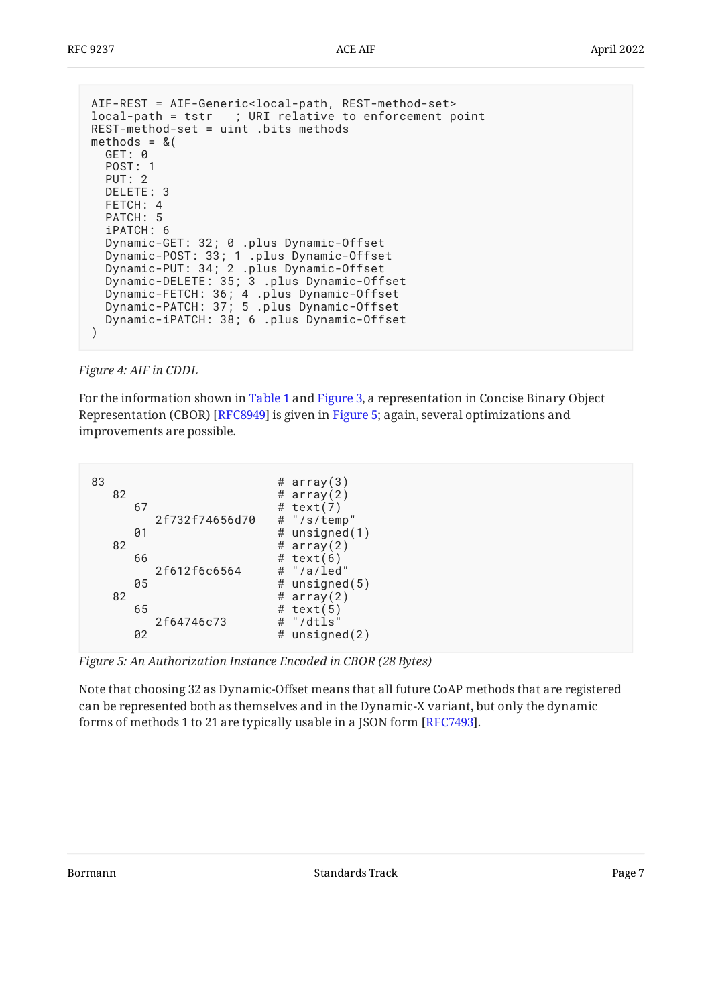```
AIF-REST = AIF-Generic<local-path, REST-method-set>
local-path = tstr ; URI relative to enforcement point
REST-method-set = uint .bits methods
methods = & ( GET: 0
   POST: 1
   PUT: 2
   DELETE: 3
   FETCH: 4
   PATCH: 5
   iPATCH: 6
   Dynamic-GET: 32; 0 .plus Dynamic-Offset
 Dynamic-POST: 33; 1 .plus Dynamic-Offset
 Dynamic-PUT: 34; 2 .plus Dynamic-Offset
 Dynamic-DELETE: 35; 3 .plus Dynamic-Offset
 Dynamic-FETCH: 36; 4 .plus Dynamic-Offset
 Dynamic-PATCH: 37; 5 .plus Dynamic-Offset
 Dynamic-iPATCH: 38; 6 .plus Dynamic-Offset
)
```
*[Figure 4:](#page-6-0) [AIF in CDDL](#page-5-2)* 

For the information shown in [Table 1](#page-3-3) and [Figure 3,](#page-5-1) a representation in Concise Binary Object Representation (CBOR) [RFC8949] is given in [Figure 5;](#page-6-1) again, several optimizations and improvements are possible.

<span id="page-6-1"></span>

| 83 | 82 |    |                |   | # $array(3)$<br># $array(2)$           |
|----|----|----|----------------|---|----------------------------------------|
|    |    | 67 |                |   | # $text(7)$                            |
|    |    |    | 2f732f74656d70 |   | # "/s/temp"                            |
|    | 82 | 01 |                |   | # unsigned $(1)$<br># $array(2)$       |
|    |    | 66 |                |   | # $text(6)$                            |
|    |    |    | 2f612f6c6564   |   | # "/a/led"                             |
|    |    | 05 |                |   | # unsigned $(5)$                       |
|    | 82 | 65 | 2f64746c73     | # | # $array(2)$<br># $text(5)$<br>"/dtls" |
|    |    | 02 |                | # | unsigned(2)                            |

*[Figure 5: An Authorization Instance Encoded in CBOR \(28 Bytes\)](#page-6-1)* 

Note that choosing 32 as Dynamic-Offset means that all future CoAP methods that are registered can be represented both as themselves and in the Dynamic-X variant, but only the dynamic forms of methods 1 to 21 are typically usable in a JSON form [RFC7493].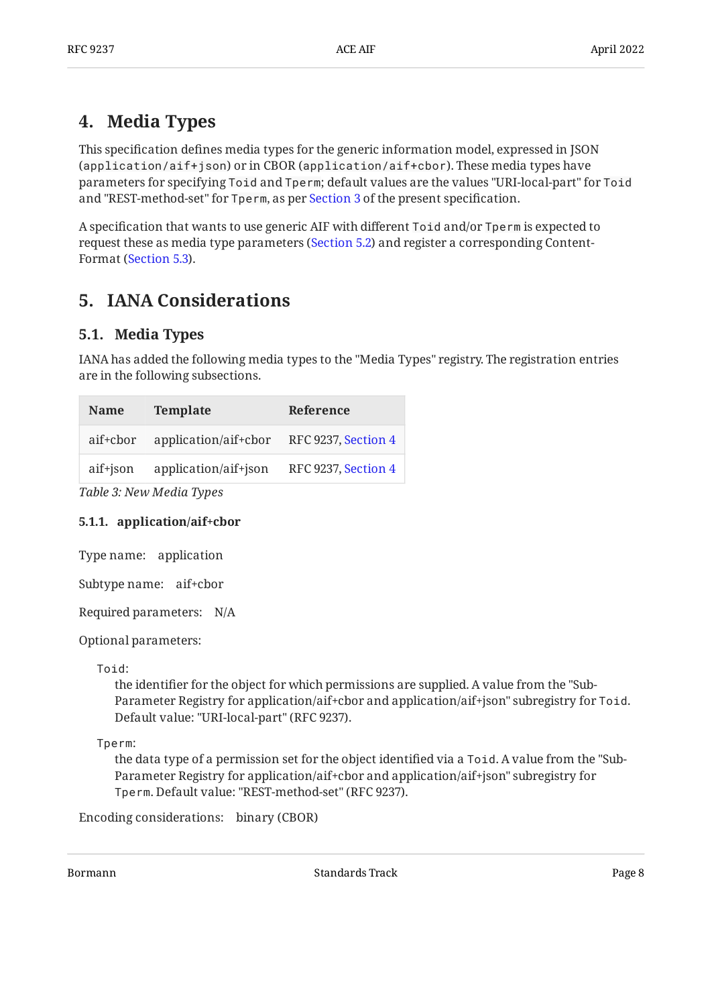# <span id="page-7-0"></span>**[4. Media Types](#page-7-0)**

This specification defines media types for the generic information model, expressed in JSON (application/aif+json) or in CBOR (application/aif+cbor). These media types have parameters for specifying Toid and Tperm; default values are the values "URI-local-part" for Toid and "REST-method-set" for Tperm, as per [Section 3](#page-5-0) of the present specification.

A specification that wants to use generic AIF with different Toid and/or Tperm is expected to request these as media type parameters ([Section 5.2](#page-9-0)) and register a corresponding Content-Format ([Section 5.3](#page-10-0)).

# <span id="page-7-2"></span><span id="page-7-1"></span>**[5. IANA Considerations](#page-7-1)**

#### **[5.1. Media Types](#page-7-2)**

IANA has added the following media types to the "Media Types" registry. The registration entries are in the following subsections.

<span id="page-7-4"></span>

| <b>Name</b> | <b>Template</b>      | Reference                  |
|-------------|----------------------|----------------------------|
| aif+cbor    | application/aif+cbor | <b>RFC 9237, Section 4</b> |
| aif+json    | application/aif+json | RFC 9237, Section 4        |
| m 11 o 17   |                      |                            |

<span id="page-7-3"></span>*[Table 3: New Media Types](#page-7-4)* 

#### **[5.1.1. application/aif+cbor](#page-7-3)**

Type name: application

Subtype name: aif+cbor

Required parameters: N/A

Optional parameters:

Toid:

the identifier for the object for which permissions are supplied. A value from the "Sub-Parameter Registry for application/aif+cbor and application/aif+json" subregistry for Toid. Default value: "URI-local-part" (RFC 9237).

Tperm:

the data type of a permission set for the object identified via a Toid. A value from the "Sub-Parameter Registry for application/aif+cbor and application/aif+json" subregistry for Tperm. Default value: "REST-method-set" (RFC 9237).

```
Encoding considerations:
binary (CBOR)
```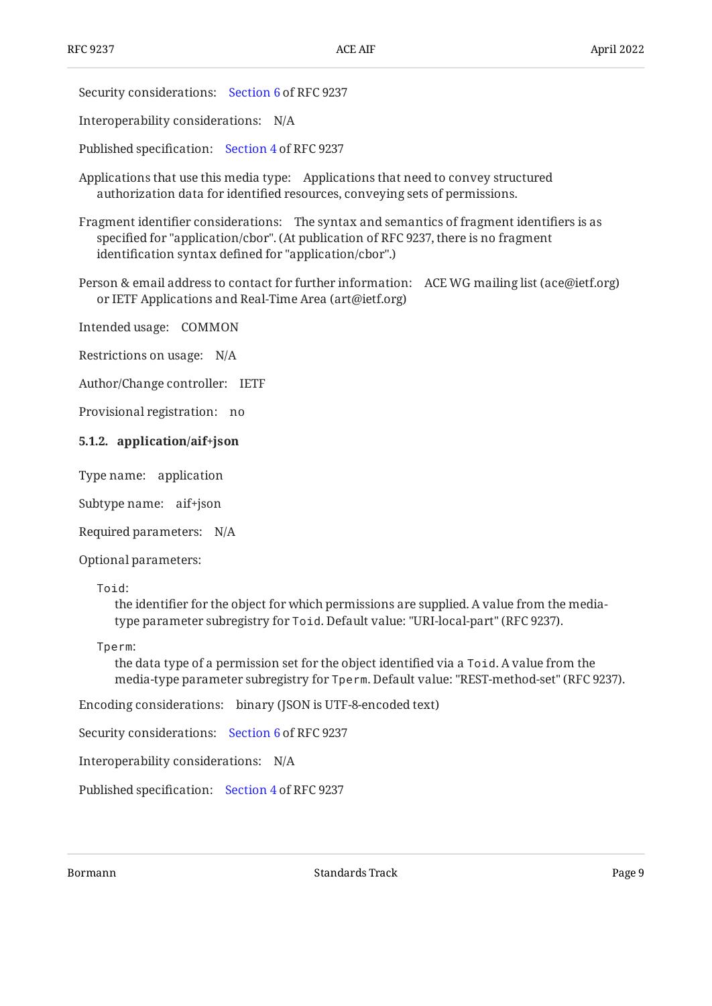Security considerations: [Section 6](#page-10-1) of RFC 9237

Interoperability considerations: N/A

Published specification: [Section 4](#page-7-0) of RFC 9237

Applications that use this media type: Applications that need to convey structured authorization data for identified resources, conveying sets of permissions.

Fragment identifier considerations: The syntax and semantics of fragment identifiers is as specified for "application/cbor". (At publication of RFC 9237, there is no fragment identification syntax defined for "application/cbor".)

Person & email address to contact for further information: ACE WG mailing list (ace@ietf.org) or IETF Applications and Real-Time Area (art@ietf.org)

Intended usage: COMMON

Restrictions on usage: N/A

Author/Change controller: IETF

<span id="page-8-0"></span>Provisional registration: no

#### **[5.1.2. application/aif+json](#page-8-0)**

Type name: application

Subtype name: aif+json

Required parameters: N/A

Optional parameters:

Toid:

the identifier for the object for which permissions are supplied. A value from the mediatype parameter subregistry for Toid. Default value: "URI-local-part" (RFC 9237).

Tperm:

the data type of a permission set for the object identified via a Toid. A value from the media-type parameter subregistry for Tperm. Default value: "REST-method-set" (RFC 9237).

Encoding considerations: binary (JSON is UTF-8-encoded text)

Security considerations: [Section 6](#page-10-1) of RFC 9237

Interoperability considerations: N/A

Published specification: [Section 4](#page-7-0) of RFC 9237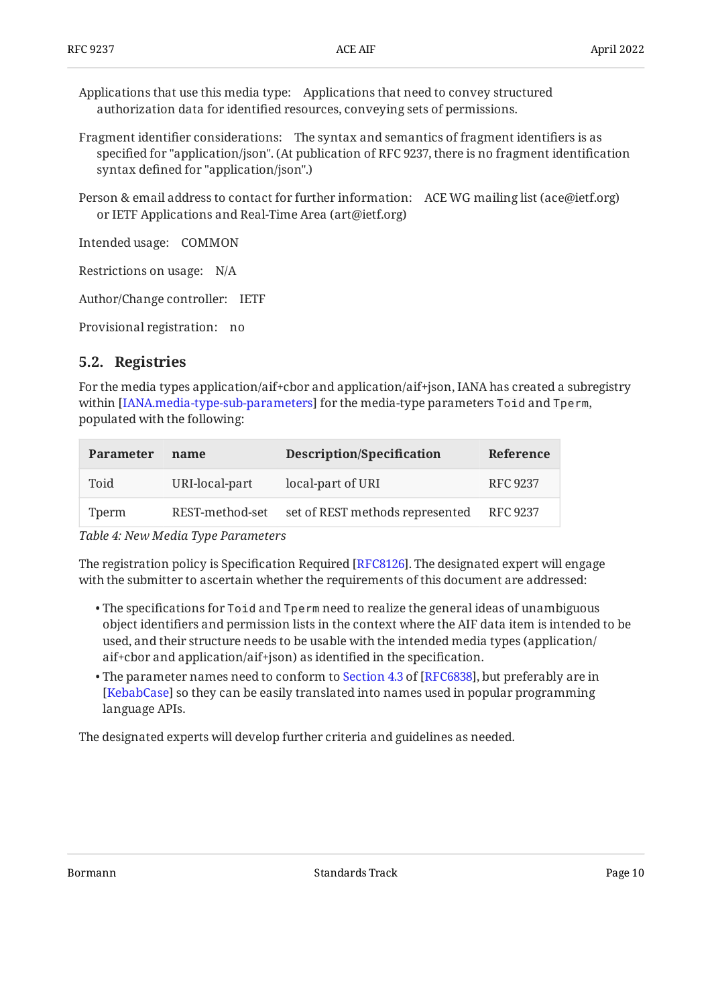Applications that use this media type: Applications that need to convey structured authorization data for identified resources, conveying sets of permissions.

- Fragment identifier considerations: The syntax and semantics of fragment identifiers is as specified for "application/json". (At publication of RFC 9237, there is no fragment identification syntax defined for "application/json".)
- Person & email address to contact for further information: ACE WG mailing list (ace@ietf.org) or IETF Applications and Real-Time Area (art@ietf.org)

Intended usage: COMMON

Restrictions on usage: N/A

Author/Change controller: IETF

<span id="page-9-0"></span>Provisional registration: no

#### **[5.2. Registries](#page-9-0)**

For the media types application/aif+cbor and application/aif+json, IANA has created a subregistry within [[IANA.media-type-sub-parameters\]](#page-12-9) for the media-type parameters To<code>id</code> and Tperm, populated with the following:

<span id="page-9-1"></span>

| <b>Parameter</b> | name            | Description/Specification       | Reference |
|------------------|-----------------|---------------------------------|-----------|
| Toid             | URI-local-part  | local-part of URI               | RFC 9237  |
| Tperm            | REST-method-set | set of REST methods represented | RFC 9237  |
|                  |                 |                                 |           |

*[Table 4: New Media Type Parameters](#page-9-1)* 

The registration policy is Specification Required [RFC8126]. The designated expert will engage with the submitter to ascertain whether the requirements of this document are addressed:

- $\bullet$  The specifications for To<code>id</code> and <code>Tperm</code> need to realize the general ideas of unambiguous object identifiers and permission lists in the context where the AIF data item is intended to be used, and their structure needs to be usable with the intended media types (application/ aif+cbor and application/aif+json) as identified in the specification.
- $\bullet$  The parameter names need to conform to [Section 4.3](https://www.rfc-editor.org/rfc/rfc6838#section-4.3) of [\[RFC6838\]](#page-11-11), but preferably are in  $\,$ [[KebabCase\]](#page-12-10) so they can be easily translated into names used in popular programming language APIs.

The designated experts will develop further criteria and guidelines as needed.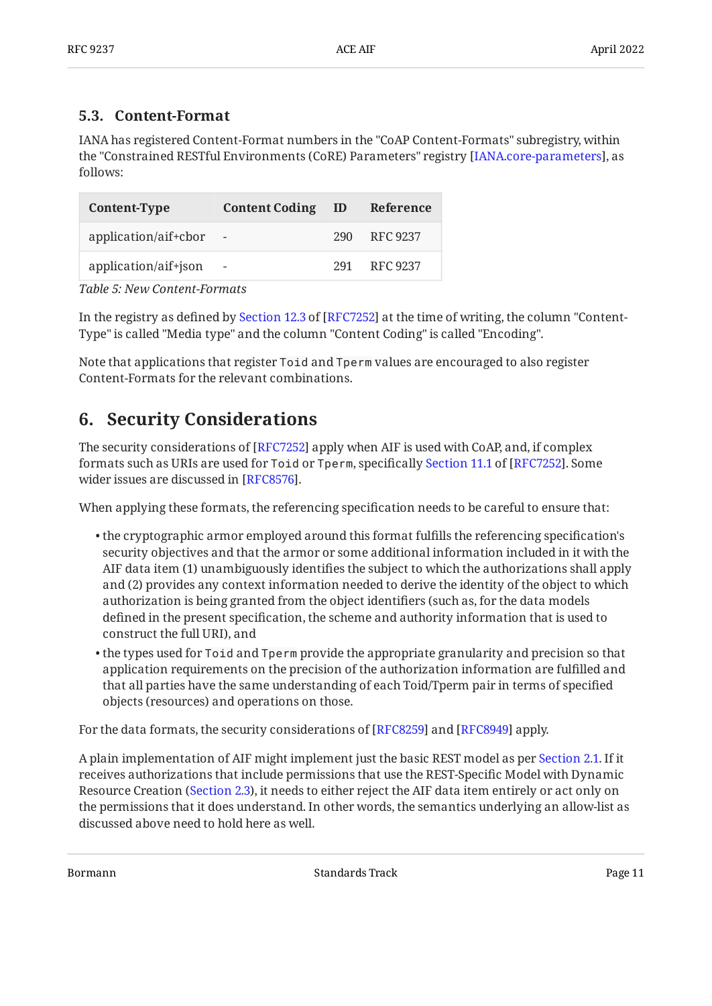#### <span id="page-10-0"></span>**[5.3. Content-Format](#page-10-0)**

IANA has registered Content-Format numbers in the "CoAP Content-Formats" subregistry, within the "Constrained RESTful Environments (CoRE) Parameters" registry [[IANA.core-parameters](#page-11-12)], as follows:

<span id="page-10-2"></span>

| Content-Type         | <b>Content Coding</b>    | - ID | Reference    |
|----------------------|--------------------------|------|--------------|
| application/aif+cbor |                          |      | 290 RFC 9237 |
| application/aif+json | $\overline{\phantom{a}}$ | 291  | RFC 9237     |

*[Table 5: New Content-Formats](#page-10-2)* 

Inthe registry as defined by Section 12.3 of [RFC7252] at the time of writing, the column "Content-Type" is called "Media type" and the column "Content Coding" is called "Encoding".

<span id="page-10-1"></span>Note that applications that register Toid and Tperm values are encouraged to also register Content-Formats for the relevant combinations.

### **[6. Security Considerations](#page-10-1)**

The security considerations of [\[RFC7252\]](#page-11-3) apply when AIF is used with CoAP, and, if complex formatssuch as URIs are used for Toid or Tperm, specifically Section 11.1 of [RFC7252]. Some wider issues are discussed in [RFC8576].

When applying these formats, the referencing specification needs to be careful to ensure that:

- $\bullet$  the cryptographic armor employed around this format fulfills the referencing specification's security objectives and that the armor or some additional information included in it with the AIF data item (1) unambiguously identifies the subject to which the authorizations shall apply and (2) provides any context information needed to derive the identity of the object to which authorization is being granted from the object identifiers (such as, for the data models defined in the present specification, the scheme and authority information that is used to construct the full URI), and
- $\bullet$  the types used for Toid and Tperm provide the appropriate granularity and precision so that application requirements on the precision of the authorization information are fulfilled and that all parties have the same understanding of each Toid/Tperm pair in terms of specified objects (resources) and operations on those.

For the data formats, the security considerations of [RFC8259] and [RFC8949] apply.

A plain implementation of AIF might implement just the basic REST model as per [Section 2.1.](#page-3-0) If it receives authorizations that include permissions that use the REST-Specific Model with Dynamic Resource Creation ([Section 2.3](#page-4-1)), it needs to either reject the AIF data item entirely or act only on the permissions that it does understand. In other words, the semantics underlying an allow-list as discussed above need to hold here as well.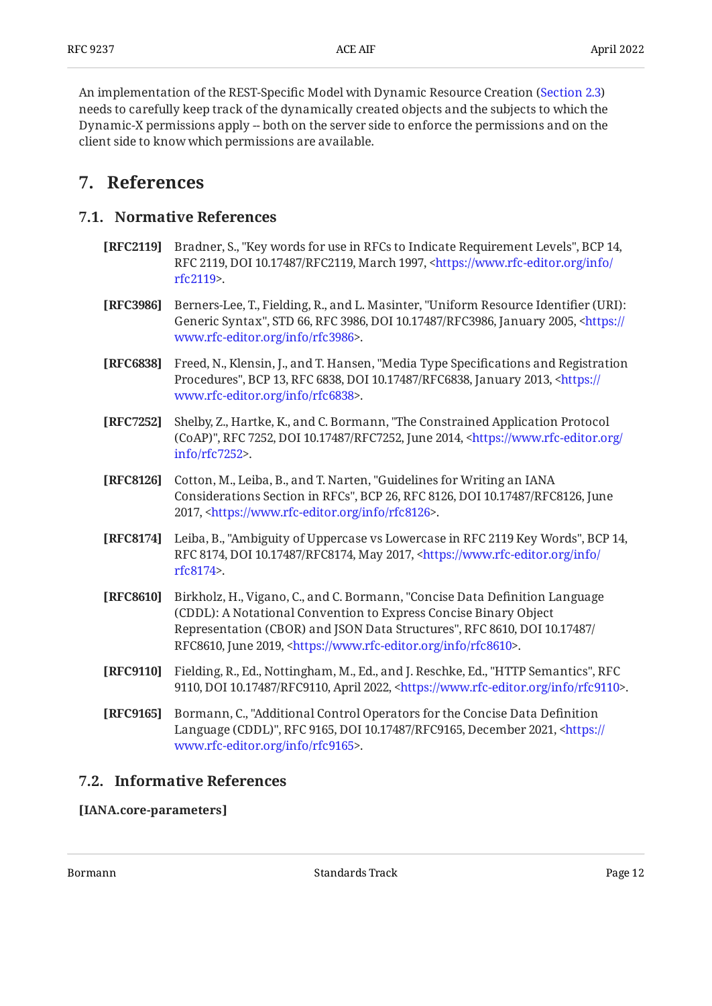An implementation of the REST-Specific Model with Dynamic Resource Creation ([Section 2.3](#page-4-1)) needs to carefully keep track of the dynamically created objects and the subjects to which the Dynamic-X permissions apply -- both on the server side to enforce the permissions and on the client side to know which permissions are available.

### <span id="page-11-1"></span><span id="page-11-0"></span>**[7. References](#page-11-0)**

#### **[7.1. Normative References](#page-11-1)**

- <span id="page-11-6"></span>**[RFC2119]** Bradner, S., "Key words for use in RFCs to Indicate Requirement Levels", BCP 14, RFC 2119, DOI 10.17487/RFC2119, March 1997, [<https://www.rfc-editor.org/info/](https://www.rfc-editor.org/info/rfc2119) . [rfc2119](https://www.rfc-editor.org/info/rfc2119)>
- <span id="page-11-8"></span>**[RFC3986]** Berners-Lee, T., Fielding, R., and L. Masinter, "Uniform Resource Identifier (URI): Generic Syntax", STD 66, RFC 3986, DOI 10.17487/RFC3986, January 2005, [<https://](https://www.rfc-editor.org/info/rfc3986) . [www.rfc-editor.org/info/rfc3986>](https://www.rfc-editor.org/info/rfc3986)
- <span id="page-11-11"></span>**[RFC6838]** Freed, N., Klensin, J., and T. Hansen, "Media Type Specifications and Registration Procedures", BCP 13, RFC 6838, DOI 10.17487/RFC6838, January 2013, [<https://](https://www.rfc-editor.org/info/rfc6838) . [www.rfc-editor.org/info/rfc6838>](https://www.rfc-editor.org/info/rfc6838)
- <span id="page-11-3"></span>**[RFC7252]** Shelby, Z., Hartke, K., and C. Bormann, "The Constrained Application Protocol (CoAP)", RFC 7252, DOI 10.17487/RFC7252, June 2014, [<https://www.rfc-editor.org/](https://www.rfc-editor.org/info/rfc7252) . [info/rfc7252>](https://www.rfc-editor.org/info/rfc7252)
- <span id="page-11-10"></span>**[RFC8126]** Cotton, M., Leiba, B., and T. Narten, "Guidelines for Writing an IANA Considerations Section in RFCs", BCP 26, RFC 8126, DOI 10.17487/RFC8126, June 2017, <https://www.rfc-editor.org/info/rfc8126>.
- <span id="page-11-7"></span>**[RFC8174]** Leiba, B., "Ambiguity of Uppercase vs Lowercase in RFC 2119 Key Words", BCP 14, RFC 8174, DOI 10.17487/RFC8174, May 2017, <[https://www.rfc-editor.org/info/](https://www.rfc-editor.org/info/rfc8174) . [rfc8174](https://www.rfc-editor.org/info/rfc8174)>
- <span id="page-11-4"></span>**[RFC8610]** Birkholz, H., Vigano, C., and C. Bormann, "Concise Data Definition Language Representation (CBOR) and JSON Data Structures", RFC 8610, DOI 10.17487/ RFC8610, June 2019, <https://www.rfc-editor.org/info/rfc8610>. (CDDL): A Notational Convention to Express Concise Binary Object
- <span id="page-11-9"></span>**[RFC9110]** Fielding, R., Ed., Nottingham, M., Ed., and J. Reschke, Ed., "HTTP Semantics", RFC 9110, DOI 10.17487/RFC9110, April 2022, <https://www.rfc-editor.org/info/rfc9110>.
- <span id="page-11-5"></span>**[RFC9165]** , Bormann, C. "Additional Control Operators for the Concise Data Definition Language (CDDL)", RFC 9165, DOI 10.17487/RFC9165, December 2021, [<https://](https://www.rfc-editor.org/info/rfc9165) . [www.rfc-editor.org/info/rfc9165>](https://www.rfc-editor.org/info/rfc9165)

#### <span id="page-11-2"></span>**[7.2. Informative References](#page-11-2)**

<span id="page-11-12"></span>**[IANA.core-parameters]**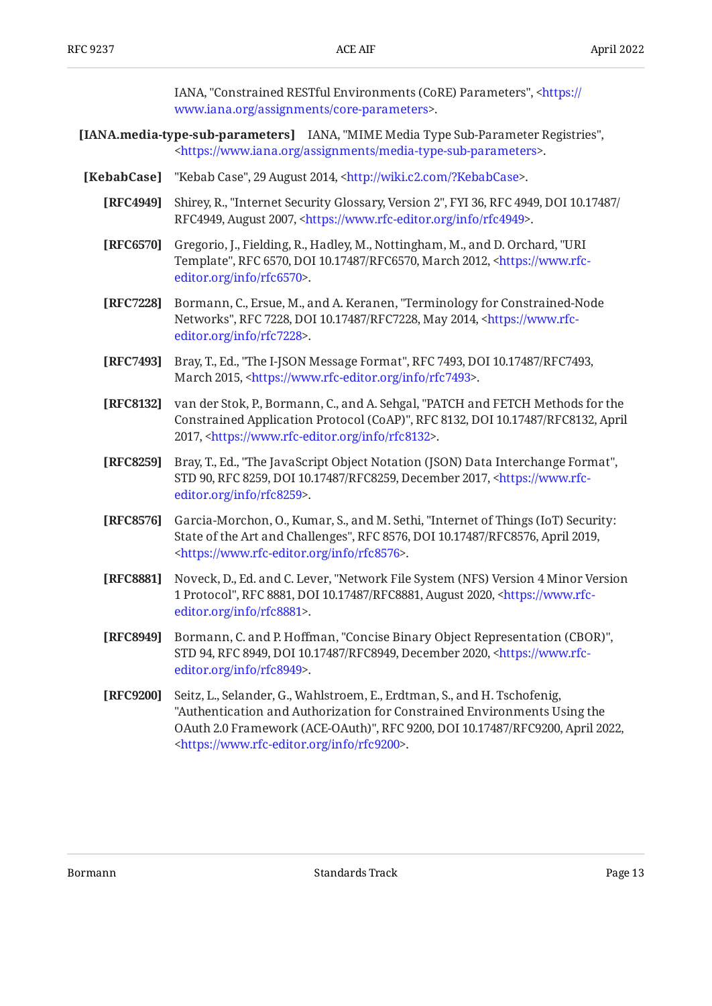IANA, "Constrained RESTful Environments (CoRE) Parameters", [<https://](https://www.iana.org/assignments/core-parameters) . [www.iana.org/assignments/core-parameters](https://www.iana.org/assignments/core-parameters)>

- <span id="page-12-9"></span>**[IANA.media-type-sub-parameters]** IANA, "MIME Media Type Sub-Parameter Registries", . [<https://www.iana.org/assignments/media-type-sub-parameters>](https://www.iana.org/assignments/media-type-sub-parameters)
- <span id="page-12-11"></span><span id="page-12-10"></span><span id="page-12-8"></span><span id="page-12-7"></span><span id="page-12-6"></span><span id="page-12-5"></span><span id="page-12-4"></span><span id="page-12-3"></span><span id="page-12-2"></span><span id="page-12-1"></span><span id="page-12-0"></span>**[KebabCase]** "Kebab Case", 29 August 2014, <http://wiki.c2.com/?KebabCase>.
	- **[RFC4949]** Shirey, R., "Internet Security Glossary, Version 2", FYI 36, RFC 4949, DOI 10.17487/ RFC4949, August 2007, <https://www.rfc-editor.org/info/rfc4949>.
	- **[RFC6570]** Gregorio, J., Fielding, R., Hadley, M., Nottingham, M., and D. Orchard, "URI Template", RFC 6570, DOI 10.17487/RFC6570, March 2012, [<https://www.rfc-](https://www.rfc-editor.org/info/rfc6570). [editor.org/info/rfc6570](https://www.rfc-editor.org/info/rfc6570)>
	- **[RFC7228]** Bormann, C., Ersue, M., and A. Keranen, "Terminology for Constrained-Node Networks", RFC 7228, DOI 10.17487/RFC7228, May 2014, <[https://www.rfc-](https://www.rfc-editor.org/info/rfc7228). [editor.org/info/rfc7228](https://www.rfc-editor.org/info/rfc7228)>
	- **[RFC7493]** Bray, T., Ed., "The I-JSON Message Format", RFC 7493, DOI 10.17487/RFC7493, March 2015, <https://www.rfc-editor.org/info/rfc7493>.
	- **[RFC8132]** van der Stok, P., Bormann, C., and A. Sehgal, "PATCH and FETCH Methods for the Constrained Application Protocol (CoAP)", RFC 8132, DOI 10.17487/RFC8132, April 2017, <https://www.rfc-editor.org/info/rfc8132>.
	- **[RFC8259]** Bray, T., Ed., "The JavaScript Object Notation (JSON) Data Interchange Format", STD 90, RFC 8259, DOI 10.17487/RFC8259, December 2017, [<https://www.rfc-](https://www.rfc-editor.org/info/rfc8259). [editor.org/info/rfc8259](https://www.rfc-editor.org/info/rfc8259)>
	- **[RFC8576]** Garcia-Morchon, O., Kumar, S., and M. Sethi, "Internet of Things (IoT) Security: State of the Art and Challenges", RFC 8576, DOI 10.17487/RFC8576, April 2019, . [<https://www.rfc-editor.org/info/rfc8576](https://www.rfc-editor.org/info/rfc8576)>
	- **[RFC8881]** Noveck, D., Ed. and C. Lever, "Network File System (NFS) Version 4 Minor Version 1 Protocol", RFC 8881, DOI 10.17487/RFC8881, August 2020, [<https://www.rfc-](https://www.rfc-editor.org/info/rfc8881). [editor.org/info/rfc8881](https://www.rfc-editor.org/info/rfc8881)>
	- **[RFC8949]** Bormann, C. and P. Hoffman, "Concise Binary Object Representation (CBOR)", STD 94, RFC 8949, DOI 10.17487/RFC8949, December 2020, [<https://www.rfc-](https://www.rfc-editor.org/info/rfc8949). [editor.org/info/rfc8949](https://www.rfc-editor.org/info/rfc8949)>
	- **[RFC9200]** Seitz, L., Selander, G., Wahlstroem, E., Erdtman, S., and H. Tschofenig, OAuth 2.0 Framework (ACE-OAuth)", RFC 9200, DOI 10.17487/RFC9200, April 2022, . [<https://www.rfc-editor.org/info/rfc9200](https://www.rfc-editor.org/info/rfc9200)> "Authentication and Authorization for Constrained Environments Using the